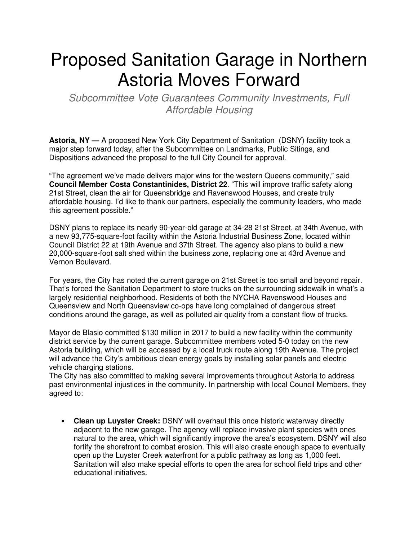## Proposed Sanitation Garage in Northern Astoria Moves Forward

Subcommittee Vote Guarantees Community Investments, Full Affordable Housing

**Astoria, NY —** A proposed New York City Department of Sanitation (DSNY) facility took a major step forward today, after the Subcommittee on Landmarks, Public Sitings, and Dispositions advanced the proposal to the full City Council for approval.

"The agreement we've made delivers major wins for the western Queens community," said **Council Member Costa Constantinides, District 22**. "This will improve traffic safety along 21st Street, clean the air for Queensbridge and Ravenswood Houses, and create truly affordable housing. I'd like to thank our partners, especially the community leaders, who made this agreement possible."

DSNY plans to replace its nearly 90-year-old garage at 34-28 21st Street, at 34th Avenue, with a new 93,775-square-foot facility within the Astoria Industrial Business Zone, located within Council District 22 at 19th Avenue and 37th Street. The agency also plans to build a new 20,000-square-foot salt shed within the business zone, replacing one at 43rd Avenue and Vernon Boulevard.

For years, the City has noted the current garage on 21st Street is too small and beyond repair. That's forced the Sanitation Department to store trucks on the surrounding sidewalk in what's a largely residential neighborhood. Residents of both the NYCHA Ravenswood Houses and Queensview and North Queensview co-ops have long complained of dangerous street conditions around the garage, as well as polluted air quality from a constant flow of trucks.

Mayor de Blasio committed \$130 million in 2017 to build a new facility within the community district service by the current garage. Subcommittee members voted 5-0 today on the new Astoria building, which will be accessed by a local truck route along 19th Avenue. The project will advance the City's ambitious clean energy goals by installing solar panels and electric vehicle charging stations.

The City has also committed to making several improvements throughout Astoria to address past environmental injustices in the community. In partnership with local Council Members, they agreed to:

• **Clean up Luyster Creek:** DSNY will overhaul this once historic waterway directly adjacent to the new garage. The agency will replace invasive plant species with ones natural to the area, which will significantly improve the area's ecosystem. DSNY will also fortify the shorefront to combat erosion. This will also create enough space to eventually open up the Luyster Creek waterfront for a public pathway as long as 1,000 feet. Sanitation will also make special efforts to open the area for school field trips and other educational initiatives.